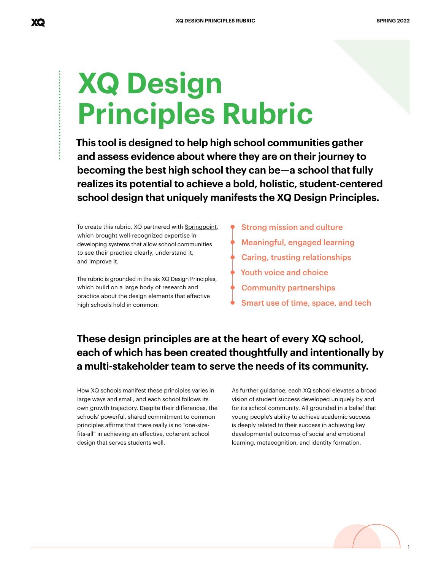## **XQ Design Principles Rubric**

**This tool is designed to help high school communities gather and assess evidence about where they are on their journey to becoming the best high school they can be—a school that fully realizes its potential to achieve a bold, holistic, student-centered school design that uniquely manifests the XQ Design Principles.** 

To create this rubric, XQ partnered with [Springpoint,](http://www.springpointschools.org) which brought well-recognized expertise in developing systems that allow school communities to see their practice clearly, understand it, and improve it.

The rubric is grounded in the six XQ Design Principles, which build on a large body of research and practice about the design elements that effective high schools hold in common:

Strong mission and culture Meaningful, engaged learning Caring, trusting relationships Youth voice and choice Community partnerships Smart use of time, space, and tech

### **These design principles are at the heart of every XQ school, each of which has been created thoughtfully and intentionally by a multi-stakeholder team to serve the needs of its community.**

How XQ schools manifest these principles varies in large ways and small, and each school follows its own growth trajectory. Despite their differences, the schools' powerful, shared commitment to common principles affirms that there really is no "one-sizefits-all" in achieving an effective, coherent school design that serves students well.

As further guidance, each XQ school elevates a broad vision of student success developed uniquely by and for its school community. All grounded in a belief that young people's ability to achieve academic success is deeply related to their success in achieving key developmental outcomes of social and emotional learning, metacognition, and identity formation.



1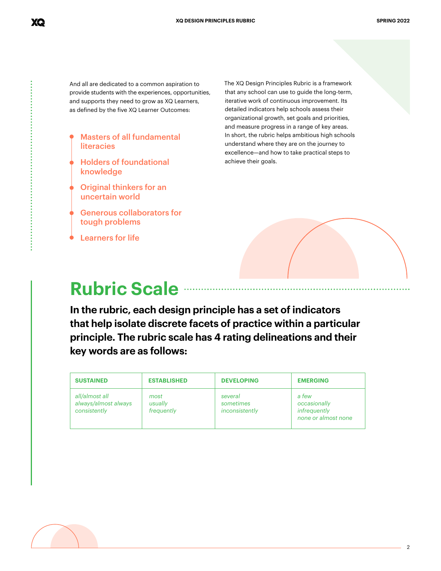And all are dedicated to a common aspiration to provide students with the experiences, opportunities, and supports they need to grow as XQ Learners, as defined by the five XQ Learner Outcomes:

- Masters of all fundamental **literacies**
- Holders of foundational knowledge
- Original thinkers for an uncertain world
- Generous collaborators for tough problems
- Learners for life

XQ

The XQ Design Principles Rubric is a framework that any school can use to guide the long-term, iterative work of continuous improvement. Its detailed indicators help schools assess their organizational growth, set goals and priorities, and measure progress in a range of key areas. In short, the rubric helps ambitious high schools understand where they are on the journey to excellence—and how to take practical steps to achieve their goals.



## **Rubric Scale**

**In the rubric, each design principle has a set of indicators that help isolate discrete facets of practice within a particular principle. The rubric scale has 4 rating delineations and their key words are as follows:** 

| <b>SUSTAINED</b>                                       | <b>ESTABLISHED</b>            | <b>DEVELOPING</b>                      | <b>EMERGING</b>                                              |
|--------------------------------------------------------|-------------------------------|----------------------------------------|--------------------------------------------------------------|
| all/almost all<br>always/almost always<br>consistently | most<br>usually<br>frequently | several<br>sometimes<br>inconsistently | a few<br>occasionally<br>infrequently<br>none or almost none |

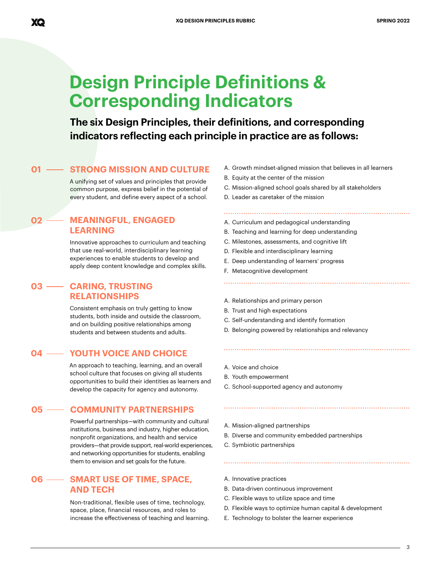## **Design Principle Definitions & Corresponding Indicators**

**The six Design Principles, their definitions, and corresponding indicators reflecting each principle in practice are as follows:**

#### **01 • STRONG MISSION AND CULTURE** A. Growth mindset-aligned mission that believes in all learners

A unifying set of values and principles that provide common purpose, express belief in the potential of every student, and define every aspect of a school.

#### **MEANINGFUL, ENGAGED LEARNING 02 MEANINGFUL, ENGAGED** A. Curriculum and pedagogical understanding

Innovative approaches to curriculum and teaching that use real-world, interdisciplinary learning experiences to enable students to develop and apply deep content knowledge and complex skills.

#### **CARING, TRUSTING 03 RELATIONSHIPS**

Consistent emphasis on truly getting to know students, both inside and outside the classroom, and on building positive relationships among students and between students and adults.

#### **04 YOUTH VOICE AND CHOICE**

An approach to teaching, learning, and an overall school culture that focuses on giving all students opportunities to build their identities as learners and develop the capacity for agency and autonomy.

#### **05 COMMUNITY PARTNERSHIPS**

Powerful partnerships—with community and cultural institutions, business and industry, higher education, nonprofit organizations, and health and service providers—that provide support, real-world experiences, and networking opportunities for students, enabling them to envision and set goals for the future.

#### **06 - SMART USE OF TIME, SPACE,** A. Innovative practices **AND TECH**

Non-traditional, flexible uses of time, technology, space, place, financial resources, and roles to increase the effectiveness of teaching and learning.

- B. Equity at the center of the mission
- C. Mission-aligned school goals shared by all stakeholders
- D. Leader as caretaker of the mission
- 
- B. Teaching and learning for deep understanding
- C. Milestones, assessments, and cognitive lift
- D. Flexible and interdisciplinary learning
- E. Deep understanding of learners' progress
- F. Metacognitive development
- A. Relationships and primary person
- B. Trust and high expectations
- C. Self-understanding and identify formation
- D. Belonging powered by relationships and relevancy

- A. Voice and choice
- B. Youth empowerment
- C. School-supported agency and autonomy
- A. Mission-aligned partnerships
- B. Diverse and community embedded partnerships
- C. Symbiotic partnerships
- 
- B. Data-driven continuous improvement
- C. Flexible ways to utilize space and time
- D. Flexible ways to optimize human capital & development

E. Technology to bolster the learner experience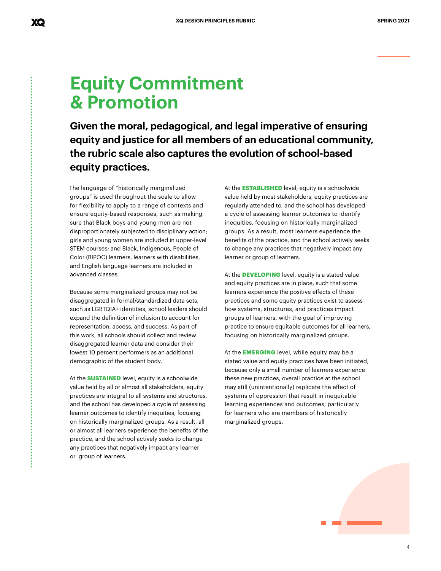## **Equity Commitment & Promotion**

**Given the moral, pedagogical, and legal imperative of ensuring equity and justice for all members of an educational community, the rubric scale also captures the evolution of school-based equity practices.**

The language of "historically marginalized groups" is used throughout the scale to allow for flexibility to apply to a range of contexts and ensure equity-based responses, such as making sure that Black boys and young men are not disproportionately subjected to disciplinary action; girls and young women are included in upper-level STEM courses; and Black, Indigenous, People of Color (BIPOC) learners, learners with disabilities, and English language learners are included in advanced classes.

Because some marginalized groups may not be disaggregated in formal/standardized data sets, such as LGBTQIA+ identities, school leaders should expand the definition of inclusion to account for representation, access, and success. As part of this work, all schools should collect and review disaggregated learner data and consider their lowest 10 percent performers as an additional demographic of the student body.

At the **SUSTAINED** level, equity is a schoolwide value held by all or almost all stakeholders, equity practices are integral to all systems and structures, and the school has developed a cycle of assessing learner outcomes to identify inequities, focusing on historically marginalized groups. As a result, all or almost all learners experience the benefits of the practice, and the school actively seeks to change any practices that negatively impact any learner or group of learners.

At the **ESTABLISHED** level, equity is a schoolwide value held by most stakeholders, equity practices are regularly attended to, and the school has developed a cycle of assessing learner outcomes to identify inequities, focusing on historically marginalized groups. As a result, most learners experience the benefits of the practice, and the school actively seeks to change any practices that negatively impact any learner or group of learners.

At the **DEVELOPING** level, equity is a stated value and equity practices are in place, such that some learners experience the positive effects of these practices and some equity practices exist to assess how systems, structures, and practices impact groups of learners, with the goal of improving practice to ensure equitable outcomes for all learners, focusing on historically marginalized groups.

At the **EMERGING** level, while equity may be a stated value and equity practices have been initiated, because only a small number of learners experience these new practices, overall practice at the school may still (unintentionally) replicate the effect of systems of oppression that result in inequitable learning experiences and outcomes, particularly for learners who are members of historically marginalized groups.



4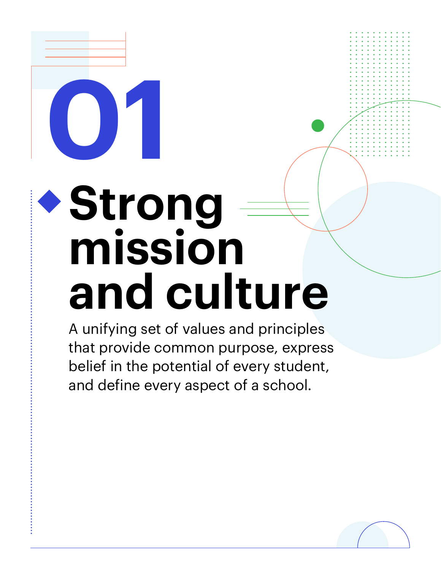## **Strong mission and culture**

**01**

A unifying set of values and principles that provide common purpose, express belief in the potential of every student, and define every aspect of a school.

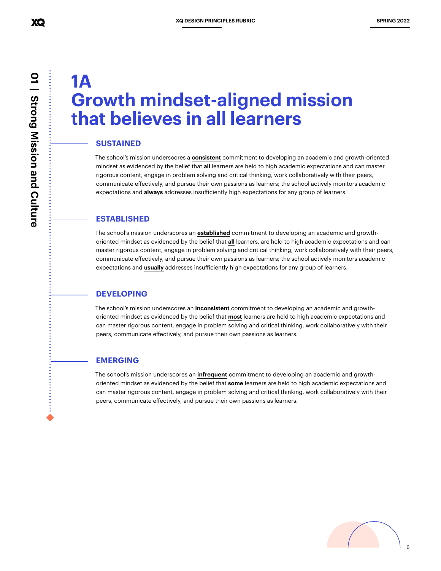## **1A Growth mindset-aligned mission that believes in all learners**

#### **SUSTAINED**

The school's mission underscores a **consistent** commitment to developing an academic and growth-oriented mindset as evidenced by the belief that **all** learners are held to high academic expectations and can master rigorous content, engage in problem solving and critical thinking, work collaboratively with their peers, communicate effectively, and pursue their own passions as learners; the school actively monitors academic expectations and **always** addresses insufficiently high expectations for any group of learners.

#### **ESTABLISHED**

The school's mission underscores an **established** commitment to developing an academic and growthoriented mindset as evidenced by the belief that **all** learners, are held to high academic expectations and can master rigorous content, engage in problem solving and critical thinking, work collaboratively with their peers, communicate effectively, and pursue their own passions as learners; the school actively monitors academic expectations and **usually** addresses insufficiently high expectations for any group of learners.

#### **DEVELOPING**

The school's mission underscores an **inconsistent** commitment to developing an academic and growthoriented mindset as evidenced by the belief that **most** learners are held to high academic expectations and can master rigorous content, engage in problem solving and critical thinking, work collaboratively with their peers, communicate effectively, and pursue their own passions as learners.

#### **EMERGING**

The school's mission underscores an **infrequent** commitment to developing an academic and growthoriented mindset as evidenced by the belief that **some** learners are held to high academic expectations and can master rigorous content, engage in problem solving and critical thinking, work collaboratively with their peers, communicate effectively, and pursue their own passions as learners.

6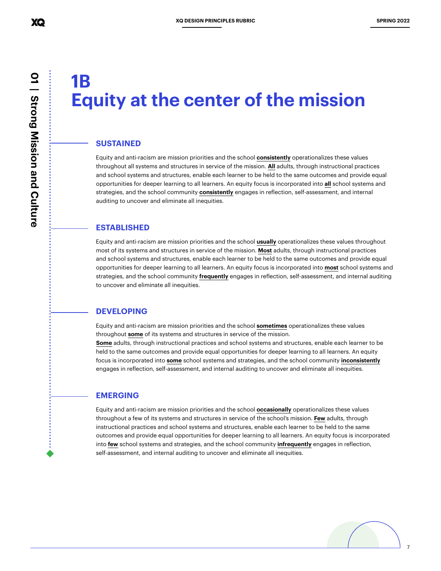## **1B Equity at the center of the mission**

#### **SUSTAINED**

Equity and anti-racism are mission priorities and the school **consistently** operationalizes these values throughout all systems and structures in service of the mission. **All** adults, through instructional practices and school systems and structures, enable each learner to be held to the same outcomes and provide equal opportunities for deeper learning to all learners. An equity focus is incorporated into **all** school systems and strategies, and the school community **consistently** engages in reflection, self-assessment, and internal auditing to uncover and eliminate all inequities.

#### **ESTABLISHED**

Equity and anti-racism are mission priorities and the school **usually** operationalizes these values throughout most of its systems and structures in service of the mission. **Most** adults, through instructional practices and school systems and structures, enable each learner to be held to the same outcomes and provide equal opportunities for deeper learning to all learners. An equity focus is incorporated into **most** school systems and strategies, and the school community **frequently** engages in reflection, self-assessment, and internal auditing to uncover and eliminate all inequities.

#### **DEVELOPING**

Equity and anti-racism are mission priorities and the school **sometimes** operationalizes these values throughout **some** of its systems and structures in service of the mission.

**Some** adults, through instructional practices and school systems and structures, enable each learner to be held to the same outcomes and provide equal opportunities for deeper learning to all learners. An equity focus is incorporated into **some** school systems and strategies, and the school community **inconsistently** engages in reflection, self-assessment, and internal auditing to uncover and eliminate all inequities.

#### **EMERGING**

Equity and anti-racism are mission priorities and the school **occasionally** operationalizes these values throughout a few of its systems and structures in service of the school's mission. **Few** adults, through instructional practices and school systems and structures, enable each learner to be held to the same outcomes and provide equal opportunities for deeper learning to all learners. An equity focus is incorporated into **few** school systems and strategies, and the school community **infrequently** engages in reflection, self-assessment, and internal auditing to uncover and eliminate all inequities.

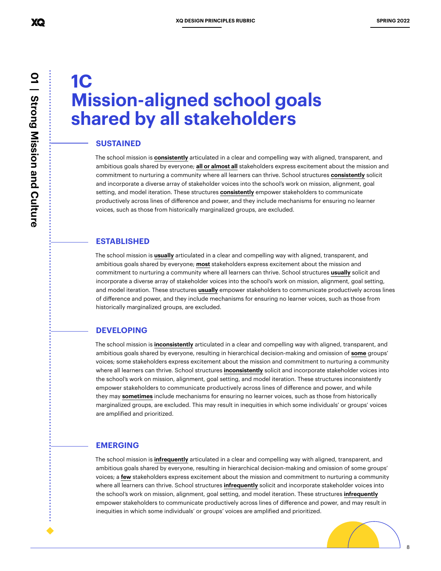# **01 | Strong Mission and Culture** 01 | Strong Mission and Culture

## **1C Mission-aligned school goals shared by all stakeholders**

#### **SUSTAINED**

The school mission is **consistently** articulated in a clear and compelling way with aligned, transparent, and ambitious goals shared by everyone; **all or almost all** stakeholders express excitement about the mission and commitment to nurturing a community where all learners can thrive. School structures **consistently** solicit and incorporate a diverse array of stakeholder voices into the school's work on mission, alignment, goal setting, and model iteration. These structures **consistently** empower stakeholders to communicate productively across lines of difference and power, and they include mechanisms for ensuring no learner voices, such as those from historically marginalized groups, are excluded.

#### **ESTABLISHED**

The school mission is **usually** articulated in a clear and compelling way with aligned, transparent, and ambitious goals shared by everyone; **most** stakeholders express excitement about the mission and commitment to nurturing a community where all learners can thrive. School structures **usually** solicit and incorporate a diverse array of stakeholder voices into the school's work on mission, alignment, goal setting, and model iteration. These structures **usually** empower stakeholders to communicate productively across lines of difference and power, and they include mechanisms for ensuring no learner voices, such as those from historically marginalized groups, are excluded.

#### **DEVELOPING**

The school mission is **inconsistently** articulated in a clear and compelling way with aligned, transparent, and ambitious goals shared by everyone, resulting in hierarchical decision-making and omission of **some** groups' voices; some stakeholders express excitement about the mission and commitment to nurturing a community where all learners can thrive. School structures **inconsistently** solicit and incorporate stakeholder voices into the school's work on mission, alignment, goal setting, and model iteration. These structures inconsistently empower stakeholders to communicate productively across lines of difference and power, and while they may **sometimes** include mechanisms for ensuring no learner voices, such as those from historically marginalized groups, are excluded. This may result in inequities in which some individuals' or groups' voices are amplified and prioritized.

#### **EMERGING**

The school mission is **infrequently** articulated in a clear and compelling way with aligned, transparent, and ambitious goals shared by everyone, resulting in hierarchical decision-making and omission of some groups' voices; a **few** stakeholders express excitement about the mission and commitment to nurturing a community where all learners can thrive. School structures **infrequently** solicit and incorporate stakeholder voices into the school's work on mission, alignment, goal setting, and model iteration. These structures **infrequently** empower stakeholders to communicate productively across lines of difference and power, and may result in inequities in which some individuals' or groups' voices are amplified and prioritized.

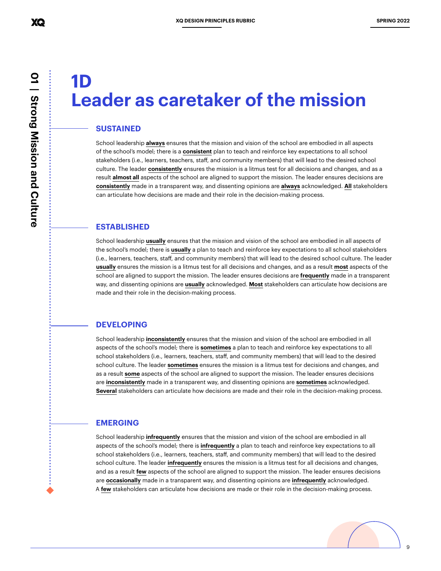## **1D Leader as caretaker of the mission**

#### **SUSTAINED**

School leadership **always** ensures that the mission and vision of the school are embodied in all aspects of the school's model; there is a **consistent** plan to teach and reinforce key expectations to all school stakeholders (i.e., learners, teachers, staff, and community members) that will lead to the desired school culture. The leader **consistently** ensures the mission is a litmus test for all decisions and changes, and as a result **almost all** aspects of the school are aligned to support the mission. The leader ensures decisions are **consistently** made in a transparent way, and dissenting opinions are **always** acknowledged. **All** stakeholders can articulate how decisions are made and their role in the decision-making process.

#### **ESTABLISHED**

School leadership **usually** ensures that the mission and vision of the school are embodied in all aspects of the school's model; there is **usually** a plan to teach and reinforce key expectations to all school stakeholders (i.e., learners, teachers, staff, and community members) that will lead to the desired school culture. The leader **usually** ensures the mission is a litmus test for all decisions and changes, and as a result **most** aspects of the school are aligned to support the mission. The leader ensures decisions are **frequently** made in a transparent way, and dissenting opinions are **usually** acknowledged. **Most** stakeholders can articulate how decisions are made and their role in the decision-making process.

#### **DEVELOPING**

School leadership **inconsistently** ensures that the mission and vision of the school are embodied in all aspects of the school's model; there is **sometimes** a plan to teach and reinforce key expectations to all school stakeholders (i.e., learners, teachers, staff, and community members) that will lead to the desired school culture. The leader **sometimes** ensures the mission is a litmus test for decisions and changes, and as a result **some** aspects of the school are aligned to support the mission. The leader ensures decisions are **inconsistently** made in a transparent way, and dissenting opinions are **sometimes** acknowledged. **Several** stakeholders can articulate how decisions are made and their role in the decision-making process.

#### **EMERGING**

School leadership **infrequently** ensures that the mission and vision of the school are embodied in all aspects of the school's model; there is **infrequently** a plan to teach and reinforce key expectations to all school stakeholders (i.e., learners, teachers, staff, and community members) that will lead to the desired school culture. The leader **infrequently** ensures the mission is a litmus test for all decisions and changes, and as a result **few** aspects of the school are aligned to support the mission. The leader ensures decisions are **occasionally** made in a transparent way, and dissenting opinions are **infrequently** acknowledged. A **few** stakeholders can articulate how decisions are made or their role in the decision-making process.

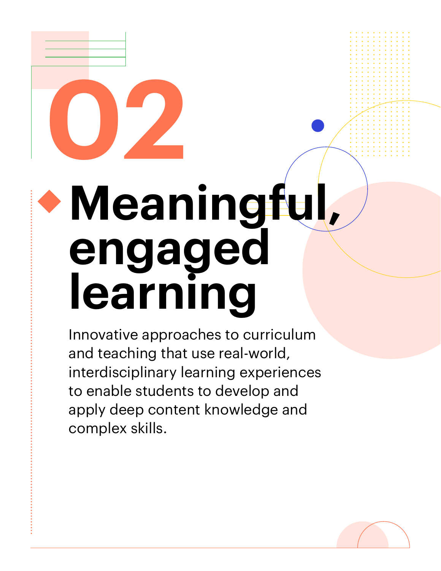# **02 Meaningful, engaged learning**

Innovative approaches to curriculum and teaching that use real-world, interdisciplinary learning experiences to enable students to develop and apply deep content knowledge and complex skills.

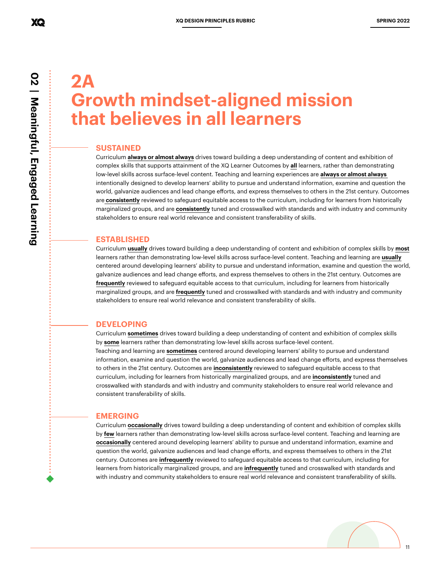## **2A Growth mindset-aligned mission that believes in all learners**

#### **SUSTAINED**

Curriculum **always or almost always** drives toward building a deep understanding of content and exhibition of complex skills that supports attainment of the XQ Learner Outcomes by **all** learners, rather than demonstrating low-level skills across surface-level content. Teaching and learning experiences are **always or almost always**  intentionally designed to develop learners' ability to pursue and understand information, examine and question the world, galvanize audiences and lead change efforts, and express themselves to others in the 21st century. Outcomes are **consistently** reviewed to safeguard equitable access to the curriculum, including for learners from historically marginalized groups, and are **consistently** tuned and crosswalked with standards and with industry and community stakeholders to ensure real world relevance and consistent transferability of skills.

#### **ESTABLISHED**

Curriculum **usually** drives toward building a deep understanding of content and exhibition of complex skills by **most** learners rather than demonstrating low-level skills across surface-level content. Teaching and learning are **usually** centered around developing learners' ability to pursue and understand information, examine and question the world, galvanize audiences and lead change efforts, and express themselves to others in the 21st century. Outcomes are **frequently** reviewed to safeguard equitable access to that curriculum, including for learners from historically marginalized groups, and are **frequently** tuned and crosswalked with standards and with industry and community stakeholders to ensure real world relevance and consistent transferability of skills.

#### **DEVELOPING**

Curriculum **sometimes** drives toward building a deep understanding of content and exhibition of complex skills by **some** learners rather than demonstrating low-level skills across surface-level content. Teaching and learning are **sometimes** centered around developing learners' ability to pursue and understand information, examine and question the world, galvanize audiences and lead change efforts, and express themselves to others in the 21st century. Outcomes are **inconsistently** reviewed to safeguard equitable access to that curriculum, including for learners from historically marginalized groups, and are **inconsistently** tuned and crosswalked with standards and with industry and community stakeholders to ensure real world relevance and consistent transferability of skills.

#### **EMERGING**

Curriculum **occasionally** drives toward building a deep understanding of content and exhibition of complex skills by **few** learners rather than demonstrating low-level skills across surface-level content. Teaching and learning are **occasionally** centered around developing learners' ability to pursue and understand information, examine and question the world, galvanize audiences and lead change efforts, and express themselves to others in the 21st century. Outcomes are **infrequently** reviewed to safeguard equitable access to that curriculum, including for learners from historically marginalized groups, and are **infrequently** tuned and crosswalked with standards and with industry and community stakeholders to ensure real world relevance and consistent transferability of skills.

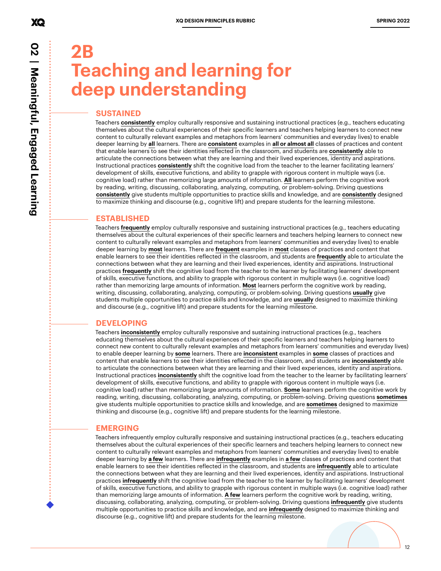XQ

**2B Teaching and learning for deep understanding**

#### **SUSTAINED**

Teachers **consistently** employ culturally responsive and sustaining instructional practices (e.g., teachers educating themselves about the cultural experiences of their specific learners and teachers helping learners to connect new content to culturally relevant examples and metaphors from learners' communities and everyday lives) to enable deeper learning by **all** learners. There are **consistent** examples in **all or almost all** classes of practices and content that enable learners to see their identities reflected in the classroom, and students are **consistently** able to articulate the connections between what they are learning and their lived experiences, identity and aspirations. Instructional practices **consistently** shift the cognitive load from the teacher to the learner facilitating learners' development of skills, executive functions, and ability to grapple with rigorous content in multiple ways (i.e. cognitive load) rather than memorizing large amounts of information. **All** learners perform the cognitive work by reading, writing, discussing, collaborating, analyzing, computing, or problem-solving. Driving questions **consistently** give students multiple opportunities to practice skills and knowledge, and are **consistently** designed to maximize thinking and discourse (e.g., cognitive lift) and prepare students for the learning milestone.

#### **ESTABLISHED**

Teachers **frequently** employ culturally responsive and sustaining instructional practices (e.g., teachers educating themselves about the cultural experiences of their specific learners and teachers helping learners to connect new content to culturally relevant examples and metaphors from learners' communities and everyday lives) to enable deeper learning by **most** learners. There are **frequent** examples in **most** classes of practices and content that enable learners to see their identities reflected in the classroom, and students are **frequently** able to articulate the connections between what they are learning and their lived experiences, identity and aspirations. Instructional practices **frequently** shift the cognitive load from the teacher to the learner by facilitating learners' development of skills, executive functions, and ability to grapple with rigorous content in multiple ways (i.e. cognitive load) rather than memorizing large amounts of information. **Most** learners perform the cognitive work by reading, writing, discussing, collaborating, analyzing, computing, or problem-solving. Driving questions **usually** give students multiple opportunities to practice skills and knowledge, and are **usually** designed to maximize thinking and discourse (e.g., cognitive lift) and prepare students for the learning milestone.

#### **DEVELOPING**

Teachers **inconsistently** employ culturally responsive and sustaining instructional practices (e.g., teachers educating themselves about the cultural experiences of their specific learners and teachers helping learners to connect new content to culturally relevant examples and metaphors from learners' communities and everyday lives) to enable deeper learning by **some** learners. There are **inconsistent** examples in **some** classes of practices and content that enable learners to see their identities reflected in the classroom, and students are **inconsistently** able to articulate the connections between what they are learning and their lived experiences, identity and aspirations. Instructional practices **inconsistently** shift the cognitive load from the teacher to the learner by facilitating learners' development of skills, executive functions, and ability to grapple with rigorous content in multiple ways (i.e. cognitive load) rather than memorizing large amounts of information. **Some** learners perform the cognitive work by reading, writing, discussing, collaborating, analyzing, computing, or problem-solving. Driving questions **sometimes** give students multiple opportunities to practice skills and knowledge, and are **sometimes** designed to maximize thinking and discourse (e.g., cognitive lift) and prepare students for the learning milestone.

#### **EMERGING**

Teachers infrequently employ culturally responsive and sustaining instructional practices (e.g., teachers educating themselves about the cultural experiences of their specific learners and teachers helping learners to connect new content to culturally relevant examples and metaphors from learners' communities and everyday lives) to enable deeper learning by **a few** learners. There are **infrequently** examples in **a few** classes of practices and content that enable learners to see their identities reflected in the classroom, and students are **infrequently** able to articulate the connections between what they are learning and their lived experiences, identity and aspirations. Instructional practices **infrequently** shift the cognitive load from the teacher to the learner by facilitating learners' development of skills, executive functions, and ability to grapple with rigorous content in multiple ways (i.e. cognitive load) rather than memorizing large amounts of information. **A few** learners perform the cognitive work by reading, writing, discussing, collaborating, analyzing, computing, or problem-solving. Driving questions **infrequently** give students multiple opportunities to practice skills and knowledge, and are **infrequently** designed to maximize thinking and discourse (e.g., cognitive lift) and prepare students for the learning milestone.

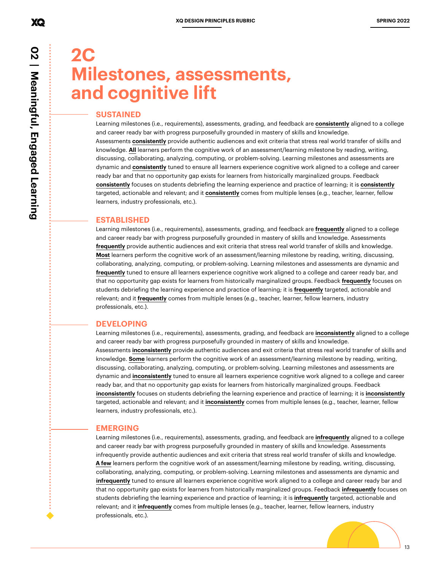## **2C Milestones, assessments, and cognitive lift**

#### **SUSTAINED**

Learning milestones (i.e., requirements), assessments, grading, and feedback are **consistently** aligned to a college and career ready bar with progress purposefully grounded in mastery of skills and knowledge. Assessments **consistently** provide authentic audiences and exit criteria that stress real world transfer of skills and knowledge. **All** learners perform the cognitive work of an assessment/learning milestone by reading, writing, discussing, collaborating, analyzing, computing, or problem-solving. Learning milestones and assessments are dynamic and **consistently** tuned to ensure all learners experience cognitive work aligned to a college and career ready bar and that no opportunity gap exists for learners from historically marginalized groups. Feedback **consistently** focuses on students debriefing the learning experience and practice of learning; it is **consistently** targeted, actionable and relevant; and it **consistently** comes from multiple lenses (e.g., teacher, learner, fellow learners, industry professionals, etc.).

#### **ESTABLISHED**

Learning milestones (i.e., requirements), assessments, grading, and feedback are **frequently** aligned to a college and career ready bar with progress purposefully grounded in mastery of skills and knowledge. Assessments **frequently** provide authentic audiences and exit criteria that stress real world transfer of skills and knowledge. **Most** learners perform the cognitive work of an assessment/learning milestone by reading, writing, discussing, collaborating, analyzing, computing, or problem-solving. Learning milestones and assessments are dynamic and **frequently** tuned to ensure all learners experience cognitive work aligned to a college and career ready bar, and that no opportunity gap exists for learners from historically marginalized groups. Feedback **frequently** focuses on students debriefing the learning experience and practice of learning; it is **frequently** targeted, actionable and relevant; and it **frequently** comes from multiple lenses (e.g., teacher, learner, fellow learners, industry professionals, etc.).

#### **DEVELOPING**

Learning milestones (i.e., requirements), assessments, grading, and feedback are **inconsistently** aligned to a college and career ready bar with progress purposefully grounded in mastery of skills and knowledge. Assessments **inconsistently** provide authentic audiences and exit criteria that stress real world transfer of skills and knowledge. **Some** learners perform the cognitive work of an assessment/learning milestone by reading, writing, discussing, collaborating, analyzing, computing, or problem-solving. Learning milestones and assessments are dynamic and **inconsistently** tuned to ensure all learners experience cognitive work aligned to a college and career ready bar, and that no opportunity gap exists for learners from historically marginalized groups. Feedback **inconsistently** focuses on students debriefing the learning experience and practice of learning; it is **inconsistently** targeted, actionable and relevant; and it **inconsistently** comes from multiple lenses (e.g., teacher, learner, fellow learners, industry professionals, etc.).

#### **EMERGING**

Learning milestones (i.e., requirements), assessments, grading, and feedback are **infrequently** aligned to a college and career ready bar with progress purposefully grounded in mastery of skills and knowledge. Assessments infrequently provide authentic audiences and exit criteria that stress real world transfer of skills and knowledge. **A few** learners perform the cognitive work of an assessment/learning milestone by reading, writing, discussing, collaborating, analyzing, computing, or problem-solving. Learning milestones and assessments are dynamic and **infrequently** tuned to ensure all learners experience cognitive work aligned to a college and career ready bar and that no opportunity gap exists for learners from historically marginalized groups. Feedback **infrequently** focuses on students debriefing the learning experience and practice of learning; it is **infrequently** targeted, actionable and relevant; and it **infrequently** comes from multiple lenses (e.g., teacher, learner, fellow learners, industry professionals, etc.).

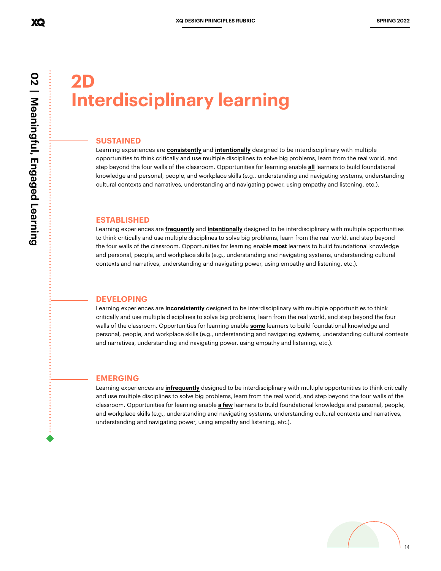**02 | Meaningful, Engaged Learning**

02 | Meaningful, Engaged Learning

## **2D Interdisciplinary learning**

#### **SUSTAINED**

Learning experiences are **consistently** and **intentionally** designed to be interdisciplinary with multiple opportunities to think critically and use multiple disciplines to solve big problems, learn from the real world, and step beyond the four walls of the classroom. Opportunities for learning enable **all** learners to build foundational knowledge and personal, people, and workplace skills (e.g., understanding and navigating systems, understanding cultural contexts and narratives, understanding and navigating power, using empathy and listening, etc.).

#### **ESTABLISHED**

Learning experiences are **frequently** and **intentionally** designed to be interdisciplinary with multiple opportunities to think critically and use multiple disciplines to solve big problems, learn from the real world, and step beyond the four walls of the classroom. Opportunities for learning enable **most** learners to build foundational knowledge and personal, people, and workplace skills (e.g., understanding and navigating systems, understanding cultural contexts and narratives, understanding and navigating power, using empathy and listening, etc.).

#### **DEVELOPING**

Learning experiences are **inconsistently** designed to be interdisciplinary with multiple opportunities to think critically and use multiple disciplines to solve big problems, learn from the real world, and step beyond the four walls of the classroom. Opportunities for learning enable **some** learners to build foundational knowledge and personal, people, and workplace skills (e.g., understanding and navigating systems, understanding cultural contexts and narratives, understanding and navigating power, using empathy and listening, etc.).

#### **EMERGING**

Learning experiences are **infrequently** designed to be interdisciplinary with multiple opportunities to think critically and use multiple disciplines to solve big problems, learn from the real world, and step beyond the four walls of the classroom. Opportunities for learning enable **a few** learners to build foundational knowledge and personal, people, and workplace skills (e.g., understanding and navigating systems, understanding cultural contexts and narratives, understanding and navigating power, using empathy and listening, etc.).

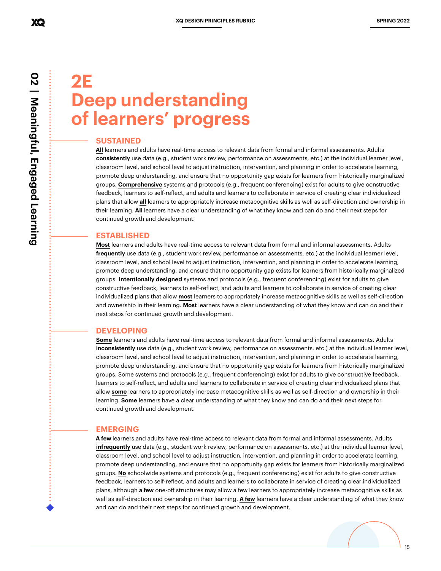## **2E Deep understanding of learners' progress**

#### **SUSTAINED**

**All** learners and adults have real-time access to relevant data from formal and informal assessments. Adults **consistently** use data (e.g., student work review, performance on assessments, etc.) at the individual learner level, classroom level, and school level to adjust instruction, intervention, and planning in order to accelerate learning, promote deep understanding, and ensure that no opportunity gap exists for learners from historically marginalized groups. **Comprehensive** systems and protocols (e.g., frequent conferencing) exist for adults to give constructive feedback, learners to self-reflect, and adults and learners to collaborate in service of creating clear individualized plans that allow **all** learners to appropriately increase metacognitive skills as well as self-direction and ownership in their learning. **All** learners have a clear understanding of what they know and can do and their next steps for continued growth and development.

#### **ESTABLISHED**

**Most** learners and adults have real-time access to relevant data from formal and informal assessments. Adults **frequently** use data (e.g., student work review, performance on assessments, etc.) at the individual learner level, classroom level, and school level to adjust instruction, intervention, and planning in order to accelerate learning, promote deep understanding, and ensure that no opportunity gap exists for learners from historically marginalized groups. **Intentionally designed** systems and protocols (e.g., frequent conferencing) exist for adults to give constructive feedback, learners to self-reflect, and adults and learners to collaborate in service of creating clear individualized plans that allow **most** learners to appropriately increase metacognitive skills as well as self-direction and ownership in their learning. **Most** learners have a clear understanding of what they know and can do and their next steps for continued growth and development.

#### **DEVELOPING**

**Some** learners and adults have real-time access to relevant data from formal and informal assessments. Adults **inconsistently** use data (e.g., student work review, performance on assessments, etc.) at the individual learner level, classroom level, and school level to adjust instruction, intervention, and planning in order to accelerate learning, promote deep understanding, and ensure that no opportunity gap exists for learners from historically marginalized groups. Some systems and protocols (e.g., frequent conferencing) exist for adults to give constructive feedback, learners to self-reflect, and adults and learners to collaborate in service of creating clear individualized plans that allow **some** learners to appropriately increase metacognitive skills as well as self-direction and ownership in their learning. **Some** learners have a clear understanding of what they know and can do and their next steps for continued growth and development.

#### **EMERGING**

**A few** learners and adults have real-time access to relevant data from formal and informal assessments. Adults **infrequently** use data (e.g., student work review, performance on assessments, etc.) at the individual learner level, classroom level, and school level to adjust instruction, intervention, and planning in order to accelerate learning, promote deep understanding, and ensure that no opportunity gap exists for learners from historically marginalized groups. **No** schoolwide systems and protocols (e.g., frequent conferencing) exist for adults to give constructive feedback, learners to self-reflect, and adults and learners to collaborate in service of creating clear individualized plans, although **a few** one-off structures may allow a few learners to appropriately increase metacognitive skills as well as self-direction and ownership in their learning. **A few** learners have a clear understanding of what they know and can do and their next steps for continued growth and development.



XQ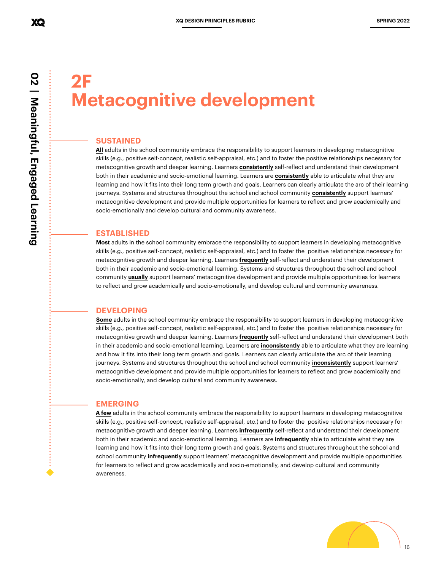## **2F Metacognitive development**

#### **SUSTAINED**

**All** adults in the school community embrace the responsibility to support learners in developing metacognitive skills (e.g., positive self-concept, realistic self-appraisal, etc.) and to foster the positive relationships necessary for metacognitive growth and deeper learning. Learners **consistently** self-reflect and understand their development both in their academic and socio-emotional learning. Learners are **consistently** able to articulate what they are learning and how it fits into their long term growth and goals. Learners can clearly articulate the arc of their learning journeys. Systems and structures throughout the school and school community **consistently** support learners' metacognitive development and provide multiple opportunities for learners to reflect and grow academically and socio-emotionally and develop cultural and community awareness.

#### **ESTABLISHED**

**Most** adults in the school community embrace the responsibility to support learners in developing metacognitive skills (e.g., positive self-concept, realistic self-appraisal, etc.) and to foster the positive relationships necessary for metacognitive growth and deeper learning. Learners **frequently** self-reflect and understand their development both in their academic and socio-emotional learning. Systems and structures throughout the school and school community **usually** support learners' metacognitive development and provide multiple opportunities for learners to reflect and grow academically and socio-emotionally, and develop cultural and community awareness.

#### **DEVELOPING**

**Some** adults in the school community embrace the responsibility to support learners in developing metacognitive skills (e.g., positive self-concept, realistic self-appraisal, etc.) and to foster the positive relationships necessary for metacognitive growth and deeper learning. Learners **frequently** self-reflect and understand their development both in their academic and socio-emotional learning. Learners are **inconsistently** able to articulate what they are learning and how it fits into their long term growth and goals. Learners can clearly articulate the arc of their learning journeys. Systems and structures throughout the school and school community **inconsistently** support learners' metacognitive development and provide multiple opportunities for learners to reflect and grow academically and socio-emotionally, and develop cultural and community awareness.

#### **EMERGING**

**A few** adults in the school community embrace the responsibility to support learners in developing metacognitive skills (e.g., positive self-concept, realistic self-appraisal, etc.) and to foster the positive relationships necessary for metacognitive growth and deeper learning. Learners **infrequently** self-reflect and understand their development both in their academic and socio-emotional learning. Learners are **infrequently** able to articulate what they are learning and how it fits into their long term growth and goals. Systems and structures throughout the school and school community **infrequently** support learners' metacognitive development and provide multiple opportunities for learners to reflect and grow academically and socio-emotionally, and develop cultural and community awareness.

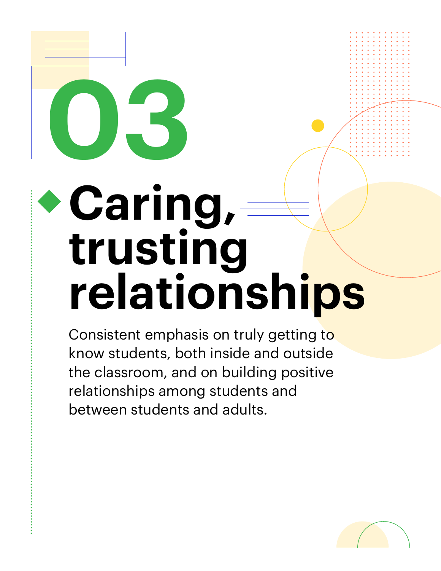# **03** Caring, **trusting relationships**

Consistent emphasis on truly getting to know students, both inside and outside the classroom, and on building positive relationships among students and between students and adults.

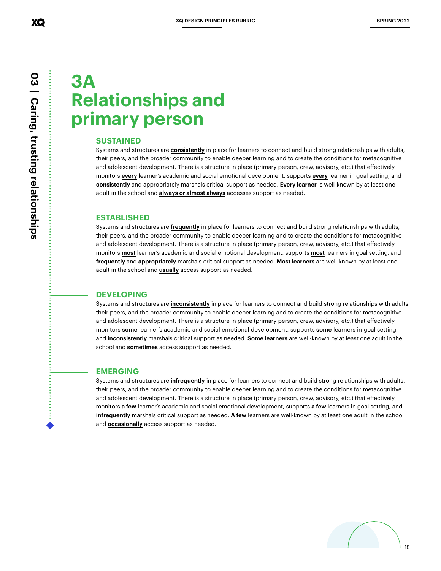## **3A Relationships and primary person**

#### **SUSTAINED**

Systems and structures are **consistently** in place for learners to connect and build strong relationships with adults, their peers, and the broader community to enable deeper learning and to create the conditions for metacognitive and adolescent development. There is a structure in place (primary person, crew, advisory, etc.) that effectively monitors **every** learner's academic and social emotional development, supports **every** learner in goal setting, and **consistently** and appropriately marshals critical support as needed. **Every learner** is well-known by at least one adult in the school and **always or almost always** accesses support as needed.

#### **ESTABLISHED**

Systems and structures are **frequently** in place for learners to connect and build strong relationships with adults, their peers, and the broader community to enable deeper learning and to create the conditions for metacognitive and adolescent development. There is a structure in place (primary person, crew, advisory, etc.) that effectively monitors **most** learner's academic and social emotional development, supports **most** learners in goal setting, and **frequently** and **appropriately** marshals critical support as needed. **Most learners** are well-known by at least one adult in the school and **usually** access support as needed.

#### **DEVELOPING**

Systems and structures are **inconsistently** in place for learners to connect and build strong relationships with adults, their peers, and the broader community to enable deeper learning and to create the conditions for metacognitive and adolescent development. There is a structure in place (primary person, crew, advisory, etc.) that effectively monitors **some** learner's academic and social emotional development, supports **some** learners in goal setting, and **inconsistently** marshals critical support as needed. **Some learners** are well-known by at least one adult in the school and **sometimes** access support as needed.

#### **EMERGING**

Systems and structures are **infrequently** in place for learners to connect and build strong relationships with adults, their peers, and the broader community to enable deeper learning and to create the conditions for metacognitive and adolescent development. There is a structure in place (primary person, crew, advisory, etc.) that effectively monitors **a few** learner's academic and social emotional development, supports **a few** learners in goal setting, and **infrequently** marshals critical support as needed. **A few** learners are well-known by at least one adult in the school and **occasionally** access support as needed.

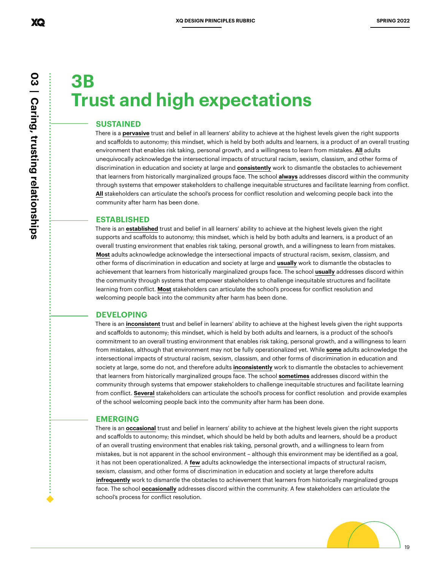## **3B Trust and high expectations**

#### **SUSTAINED**

There is a **pervasive** trust and belief in all learners' ability to achieve at the highest levels given the right supports and scaffolds to autonomy; this mindset, which is held by both adults and learners, is a product of an overall trusting environment that enables risk taking, personal growth, and a willingness to learn from mistakes. **All** adults unequivocally acknowledge the intersectional impacts of structural racism, sexism, classism, and other forms of discrimination in education and society at large and **consistently** work to dismantle the obstacles to achievement that learners from historically marginalized groups face. The school **always** addresses discord within the community through systems that empower stakeholders to challenge inequitable structures and facilitate learning from conflict. **All** stakeholders can articulate the school's process for conflict resolution and welcoming people back into the community after harm has been done.

#### **ESTABLISHED**

There is an **established** trust and belief in all learners' ability to achieve at the highest levels given the right supports and scaffolds to autonomy; this mindset, which is held by both adults and learners, is a product of an overall trusting environment that enables risk taking, personal growth, and a willingness to learn from mistakes. **Most** adults acknowledge acknowledge the intersectional impacts of structural racism, sexism, classism, and other forms of discrimination in education and society at large and **usually** work to dismantle the obstacles to achievement that learners from historically marginalized groups face. The school **usually** addresses discord within the community through systems that empower stakeholders to challenge inequitable structures and facilitate learning from conflict. **Most** stakeholders can articulate the school's process for conflict resolution and welcoming people back into the community after harm has been done.

#### **DEVELOPING**

There is an **inconsistent** trust and belief in learners' ability to achieve at the highest levels given the right supports and scaffolds to autonomy; this mindset, which is held by both adults and learners, is a product of the school's commitment to an overall trusting environment that enables risk taking, personal growth, and a willingness to learn from mistakes, although that environment may not be fully operationalized yet. While **some** adults acknowledge the intersectional impacts of structural racism, sexism, classism, and other forms of discrimination in education and society at large, some do not, and therefore adults **inconsistently** work to dismantle the obstacles to achievement that learners from historically marginalized groups face. The school **sometimes** addresses discord within the community through systems that empower stakeholders to challenge inequitable structures and facilitate learning from conflict. **Several** stakeholders can articulate the school's process for conflict resolution and provide examples of the school welcoming people back into the community after harm has been done.

#### **EMERGING**

There is an **occasional** trust and belief in learners' ability to achieve at the highest levels given the right supports and scaffolds to autonomy; this mindset, which should be held by both adults and learners, should be a product of an overall trusting environment that enables risk taking, personal growth, and a willingness to learn from mistakes, but is not apparent in the school environment – although this environment may be identified as a goal, it has not been operationalized. A **few** adults acknowledge the intersectional impacts of structural racism, sexism, classism, and other forms of discrimination in education and society at large therefore adults **infrequently** work to dismantle the obstacles to achievement that learners from historically marginalized groups face. The school **occasionally** addresses discord within the community. A few stakeholders can articulate the school's process for conflict resolution.

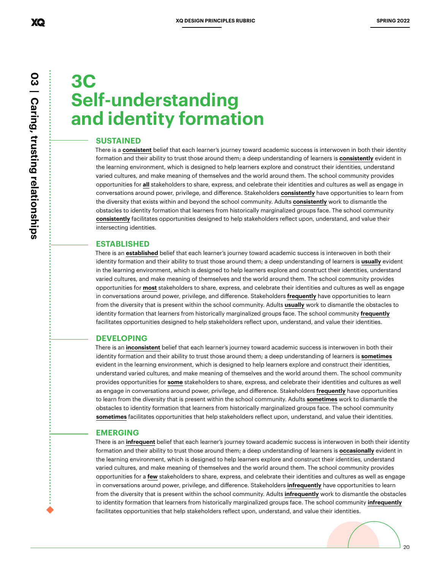## **3C Self-understanding and identity formation**

#### **SUSTAINED**

There is a **consistent** belief that each learner's journey toward academic success is interwoven in both their identity formation and their ability to trust those around them; a deep understanding of learners is **consistently** evident in the learning environment, which is designed to help learners explore and construct their identities, understand varied cultures, and make meaning of themselves and the world around them. The school community provides opportunities for **all** stakeholders to share, express, and celebrate their identities and cultures as well as engage in conversations around power, privilege, and difference. Stakeholders **consistently** have opportunities to learn from the diversity that exists within and beyond the school community. Adults **consistently** work to dismantle the obstacles to identity formation that learners from historically marginalized groups face. The school community **consistently** facilitates opportunities designed to help stakeholders reflect upon, understand, and value their intersecting identities.

#### **ESTABLISHED**

There is an **established** belief that each learner's journey toward academic success is interwoven in both their identity formation and their ability to trust those around them; a deep understanding of learners is **usually** evident in the learning environment, which is designed to help learners explore and construct their identities, understand varied cultures, and make meaning of themselves and the world around them. The school community provides opportunities for **most** stakeholders to share, express, and celebrate their identities and cultures as well as engage in conversations around power, privilege, and difference. Stakeholders **frequently** have opportunities to learn from the diversity that is present within the school community. Adults **usually** work to dismantle the obstacles to identity formation that learners from historically marginalized groups face. The school community **frequently** facilitates opportunities designed to help stakeholders reflect upon, understand, and value their identities.

#### **DEVELOPING**

There is an **inconsistent** belief that each learner's journey toward academic success is interwoven in both their identity formation and their ability to trust those around them; a deep understanding of learners is **sometimes** evident in the learning environment, which is designed to help learners explore and construct their identities, understand varied cultures, and make meaning of themselves and the world around them. The school community provides opportunities for **some** stakeholders to share, express, and celebrate their identities and cultures as well as engage in conversations around power, privilege, and difference. Stakeholders **frequently** have opportunities to learn from the diversity that is present within the school community. Adults **sometimes** work to dismantle the obstacles to identity formation that learners from historically marginalized groups face. The school community **sometimes** facilitates opportunities that help stakeholders reflect upon, understand, and value their identities.

#### **EMERGING**

There is an **infrequent** belief that each learner's journey toward academic success is interwoven in both their identity formation and their ability to trust those around them; a deep understanding of learners is **occasionally** evident in the learning environment, which is designed to help learners explore and construct their identities, understand varied cultures, and make meaning of themselves and the world around them. The school community provides opportunities for a **few** stakeholders to share, express, and celebrate their identities and cultures as well as engage in conversations around power, privilege, and difference. Stakeholders **infrequently** have opportunities to learn from the diversity that is present within the school community. Adults **infrequently** work to dismantle the obstacles to identity formation that learners from historically marginalized groups face. The school community **infrequently** facilitates opportunities that help stakeholders reflect upon, understand, and value their identities.

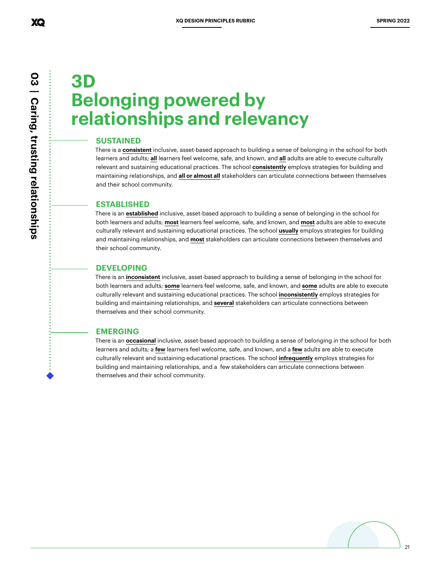## **3D Belonging powered by relationships and relevancy**

#### **SUSTAINED**

There is a **consistent** inclusive, asset-based approach to building a sense of belonging in the school for both learners and adults; **all** learners feel welcome, safe, and known, and **all** adults are able to execute culturally relevant and sustaining educational practices. The school **consistently** employs strategies for building and maintaining relationships, and **all or almost all** stakeholders can articulate connections between themselves and their school community.

#### **ESTABLISHED**

There is an **established** inclusive, asset-based approach to building a sense of belonging in the school for both learners and adults; **most** learners feel welcome, safe, and known, and **most** adults are able to execute culturally relevant and sustaining educational practices. The school **usually** employs strategies for building and maintaining relationships, and **most** stakeholders can articulate connections between themselves and their school community.

#### **DEVELOPING**

There is an **inconsistent** inclusive, asset-based approach to building a sense of belonging in the school for both learners and adults; **some** learners feel welcome, safe, and known, and **some** adults are able to execute culturally relevant and sustaining educational practices. The school **inconsistently** employs strategies for building and maintaining relationships, and **several** stakeholders can articulate connections between themselves and their school community.

#### **EMERGING**

There is an **occasional** inclusive, asset-based approach to building a sense of belonging in the school for both learners and adults; a **few** learners feel welcome, safe, and known, and a **few** adults are able to execute culturally relevant and sustaining educational practices. The school **infrequently** employs strategies for building and maintaining relationships, and a few stakeholders can articulate connections between themselves and their school community.

XQ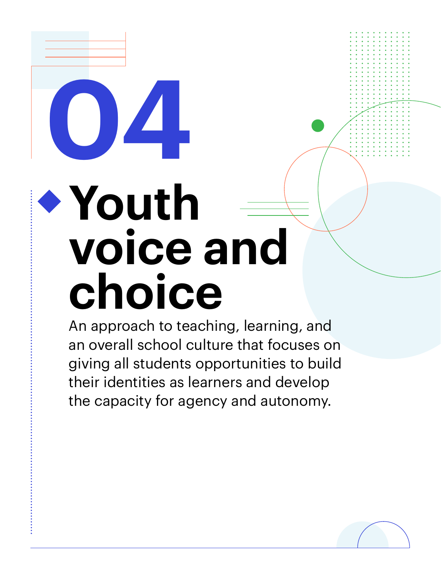## **Youth voice and choice**

**04**

An approach to teaching, learning, and an overall school culture that focuses on giving all students opportunities to build their identities as learners and develop the capacity for agency and autonomy.

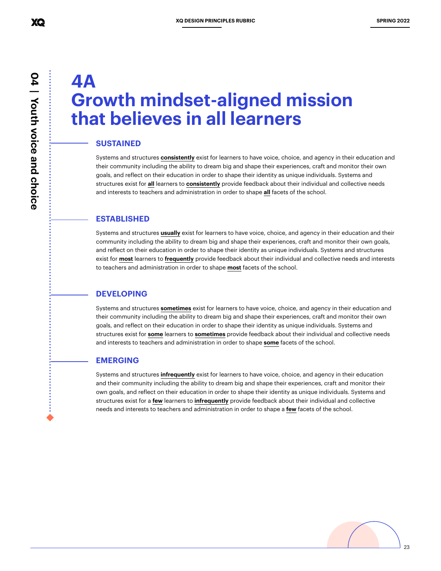## **4A Growth mindset-aligned mission that believes in all learners**

#### **SUSTAINED**

Systems and structures **consistently** exist for learners to have voice, choice, and agency in their education and their community including the ability to dream big and shape their experiences, craft and monitor their own goals, and reflect on their education in order to shape their identity as unique individuals. Systems and structures exist for **all** learners to **consistently** provide feedback about their individual and collective needs and interests to teachers and administration in order to shape **all** facets of the school.

#### **ESTABLISHED**

Systems and structures **usually** exist for learners to have voice, choice, and agency in their education and their community including the ability to dream big and shape their experiences, craft and monitor their own goals, and reflect on their education in order to shape their identity as unique individuals. Systems and structures exist for **most** learners to **frequently** provide feedback about their individual and collective needs and interests to teachers and administration in order to shape **most** facets of the school.

#### **DEVELOPING**

Systems and structures **sometimes** exist for learners to have voice, choice, and agency in their education and their community including the ability to dream big and shape their experiences, craft and monitor their own goals, and reflect on their education in order to shape their identity as unique individuals. Systems and structures exist for **some** learners to **sometimes** provide feedback about their individual and collective needs and interests to teachers and administration in order to shape **some** facets of the school.

#### **EMERGING**

Systems and structures **infrequently** exist for learners to have voice, choice, and agency in their education and their community including the ability to dream big and shape their experiences, craft and monitor their own goals, and reflect on their education in order to shape their identity as unique individuals. Systems and structures exist for a **few** learners to **infrequently** provide feedback about their individual and collective needs and interests to teachers and administration in order to shape a **few** facets of the school.

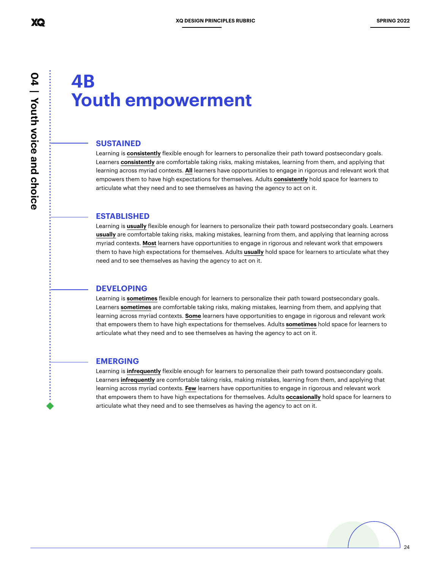### **4B Youth empowerment**

#### **SUSTAINED**

Learning is **consistently** flexible enough for learners to personalize their path toward postsecondary goals. Learners **consistently** are comfortable taking risks, making mistakes, learning from them, and applying that learning across myriad contexts. **All** learners have opportunities to engage in rigorous and relevant work that empowers them to have high expectations for themselves. Adults **consistently** hold space for learners to articulate what they need and to see themselves as having the agency to act on it.

#### **ESTABLISHED**

Learning is **usually** flexible enough for learners to personalize their path toward postsecondary goals. Learners **usually** are comfortable taking risks, making mistakes, learning from them, and applying that learning across myriad contexts. **Most** learners have opportunities to engage in rigorous and relevant work that empowers them to have high expectations for themselves. Adults **usually** hold space for learners to articulate what they need and to see themselves as having the agency to act on it.

#### **DEVELOPING**

Learning is **sometimes** flexible enough for learners to personalize their path toward postsecondary goals. Learners **sometimes** are comfortable taking risks, making mistakes, learning from them, and applying that learning across myriad contexts. **Some** learners have opportunities to engage in rigorous and relevant work that empowers them to have high expectations for themselves. Adults **sometimes** hold space for learners to articulate what they need and to see themselves as having the agency to act on it.

#### **EMERGING**

Learning is **infrequently** flexible enough for learners to personalize their path toward postsecondary goals. Learners **infrequently** are comfortable taking risks, making mistakes, learning from them, and applying that learning across myriad contexts. **Few** learners have opportunities to engage in rigorous and relevant work that empowers them to have high expectations for themselves. Adults **occasionally** hold space for learners to articulate what they need and to see themselves as having the agency to act on it.



 **04 | Youth voice and choice** 04 | Youth voice and choice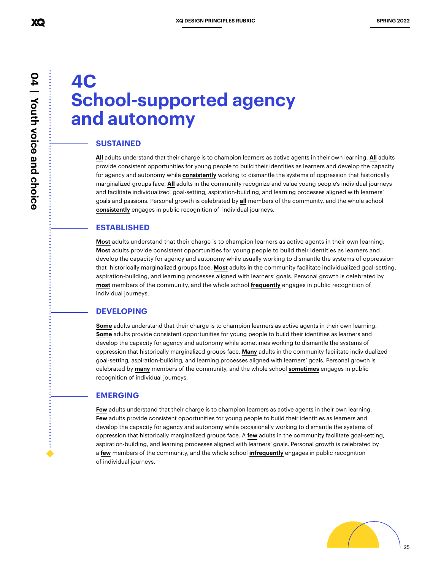## **4C School-supported agency and autonomy**

#### **SUSTAINED**

**All** adults understand that their charge is to champion learners as active agents in their own learning. **All** adults provide consistent opportunities for young people to build their identities as learners and develop the capacity for agency and autonomy while **consistently** working to dismantle the systems of oppression that historically marginalized groups face. **All** adults in the community recognize and value young people's individual journeys and facilitate individualized goal-setting, aspiration-building, and learning processes aligned with learners' goals and passions. Personal growth is celebrated by **all** members of the community, and the whole school **consistently** engages in public recognition of individual journeys.

#### **ESTABLISHED**

**Most** adults understand that their charge is to champion learners as active agents in their own learning. **Most** adults provide consistent opportunities for young people to build their identities as learners and develop the capacity for agency and autonomy while usually working to dismantle the systems of oppression that historically marginalized groups face. **Most** adults in the community facilitate individualized goal-setting, aspiration-building, and learning processes aligned with learners' goals. Personal growth is celebrated by **most** members of the community, and the whole school **frequently** engages in public recognition of individual journeys.

#### **DEVELOPING**

**Some** adults understand that their charge is to champion learners as active agents in their own learning. **Some** adults provide consistent opportunities for young people to build their identities as learners and develop the capacity for agency and autonomy while sometimes working to dismantle the systems of oppression that historically marginalized groups face. **Many** adults in the community facilitate individualized goal-setting, aspiration-building, and learning processes aligned with learners' goals. Personal growth is celebrated by **many** members of the community, and the whole school **sometimes** engages in public recognition of individual journeys.

#### **EMERGING**

**Few** adults understand that their charge is to champion learners as active agents in their own learning. **Few** adults provide consistent opportunities for young people to build their identities as learners and develop the capacity for agency and autonomy while occasionally working to dismantle the systems of oppression that historically marginalized groups face. A **few** adults in the community facilitate goal-setting, aspiration-building, and learning processes aligned with learners' goals. Personal growth is celebrated by a **few** members of the community, and the whole school **infrequently** engages in public recognition of individual journeys.

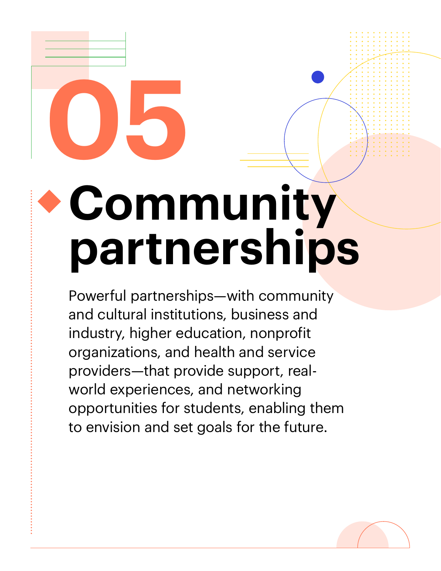# **05 Community partnerships**

Powerful partnerships—with community and cultural institutions, business and industry, higher education, nonprofit organizations, and health and service providers—that provide support, realworld experiences, and networking opportunities for students, enabling them to envision and set goals for the future.

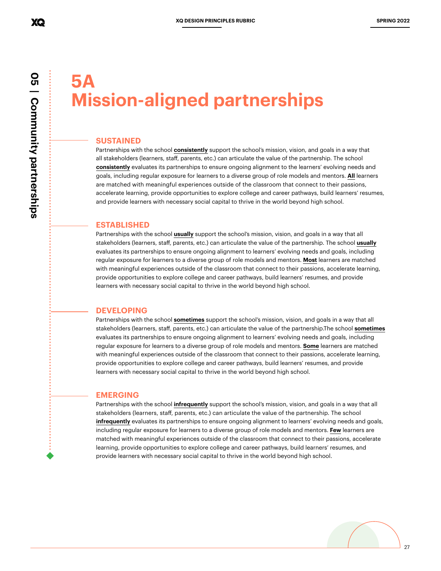## **5A Mission-aligned partnerships**

#### **SUSTAINED**

Partnerships with the school **consistently** support the school's mission, vision, and goals in a way that all stakeholders (learners, staff, parents, etc.) can articulate the value of the partnership. The school **consistently** evaluates its partnerships to ensure ongoing alignment to the learners' evolving needs and goals, including regular exposure for learners to a diverse group of role models and mentors. **All** learners are matched with meaningful experiences outside of the classroom that connect to their passions, accelerate learning, provide opportunities to explore college and career pathways, build learners' resumes, and provide learners with necessary social capital to thrive in the world beyond high school.

#### **ESTABLISHED**

Partnerships with the school **usually** support the school's mission, vision, and goals in a way that all stakeholders (learners, staff, parents, etc.) can articulate the value of the partnership. The school **usually** evaluates its partnerships to ensure ongoing alignment to learners' evolving needs and goals, including regular exposure for learners to a diverse group of role models and mentors. **Most** learners are matched with meaningful experiences outside of the classroom that connect to their passions, accelerate learning, provide opportunities to explore college and career pathways, build learners' resumes, and provide learners with necessary social capital to thrive in the world beyond high school.

#### **DEVELOPING**

Partnerships with the school **sometimes** support the school's mission, vision, and goals in a way that all stakeholders (learners, staff, parents, etc.) can articulate the value of the partnership.The school **sometimes** evaluates its partnerships to ensure ongoing alignment to learners' evolving needs and goals, including regular exposure for learners to a diverse group of role models and mentors. **Some** learners are matched with meaningful experiences outside of the classroom that connect to their passions, accelerate learning, provide opportunities to explore college and career pathways, build learners' resumes, and provide learners with necessary social capital to thrive in the world beyond high school.

#### **EMERGING**

Partnerships with the school **infrequently** support the school's mission, vision, and goals in a way that all stakeholders (learners, staff, parents, etc.) can articulate the value of the partnership. The school **infrequently** evaluates its partnerships to ensure ongoing alignment to learners' evolving needs and goals, including regular exposure for learners to a diverse group of role models and mentors. **Few** learners are matched with meaningful experiences outside of the classroom that connect to their passions, accelerate learning, provide opportunities to explore college and career pathways, build learners' resumes, and provide learners with necessary social capital to thrive in the world beyond high school.

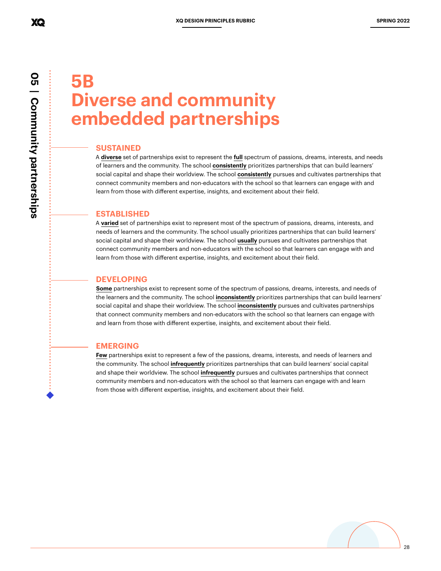## **5B Diverse and community embedded partnerships**

#### **SUSTAINED**

A **diverse** set of partnerships exist to represent the **full** spectrum of passions, dreams, interests, and needs of learners and the community. The school **consistently** prioritizes partnerships that can build learners' social capital and shape their worldview. The school **consistently** pursues and cultivates partnerships that connect community members and non-educators with the school so that learners can engage with and learn from those with different expertise, insights, and excitement about their field.

#### **ESTABLISHED**

A **varied** set of partnerships exist to represent most of the spectrum of passions, dreams, interests, and needs of learners and the community. The school usually prioritizes partnerships that can build learners' social capital and shape their worldview. The school **usually** pursues and cultivates partnerships that connect community members and non-educators with the school so that learners can engage with and learn from those with different expertise, insights, and excitement about their field.

#### **DEVELOPING**

**Some** partnerships exist to represent some of the spectrum of passions, dreams, interests, and needs of the learners and the community. The school **inconsistently** prioritizes partnerships that can build learners' social capital and shape their worldview. The school **inconsistently** pursues and cultivates partnerships that connect community members and non-educators with the school so that learners can engage with and learn from those with different expertise, insights, and excitement about their field.

#### **EMERGING**

**Few** partnerships exist to represent a few of the passions, dreams, interests, and needs of learners and the community. The school **infrequently** prioritizes partnerships that can build learners' social capital and shape their worldview. The school **infrequently** pursues and cultivates partnerships that connect community members and non-educators with the school so that learners can engage with and learn from those with different expertise, insights, and excitement about their field.

XQ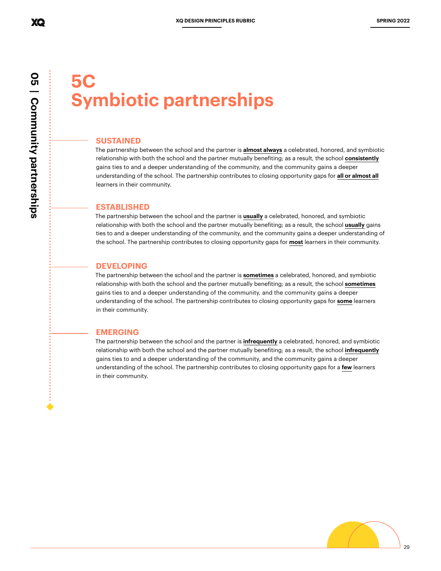## **5C Symbiotic partnerships**

#### **SUSTAINED**

The partnership between the school and the partner is **almost always** a celebrated, honored, and symbiotic relationship with both the school and the partner mutually benefiting; as a result, the school **consistently** gains ties to and a deeper understanding of the community, and the community gains a deeper understanding of the school. The partnership contributes to closing opportunity gaps for **all or almost all** learners in their community.

#### **ESTABLISHED**

The partnership between the school and the partner is **usually** a celebrated, honored, and symbiotic relationship with both the school and the partner mutually benefiting; as a result, the school **usually** gains ties to and a deeper understanding of the community, and the community gains a deeper understanding of the school. The partnership contributes to closing opportunity gaps for **most** learners in their community.

#### **DEVELOPING**

The partnership between the school and the partner is **sometimes** a celebrated, honored, and symbiotic relationship with both the school and the partner mutually benefiting; as a result, the school **sometimes** gains ties to and a deeper understanding of the community, and the community gains a deeper understanding of the school. The partnership contributes to closing opportunity gaps for **some** learners in their community.

#### **EMERGING**

The partnership between the school and the partner is **infrequently** a celebrated, honored, and symbiotic relationship with both the school and the partner mutually benefiting; as a result, the school **infrequently** gains ties to and a deeper understanding of the community, and the community gains a deeper understanding of the school. The partnership contributes to closing opportunity gaps for a **few** learners in their community.

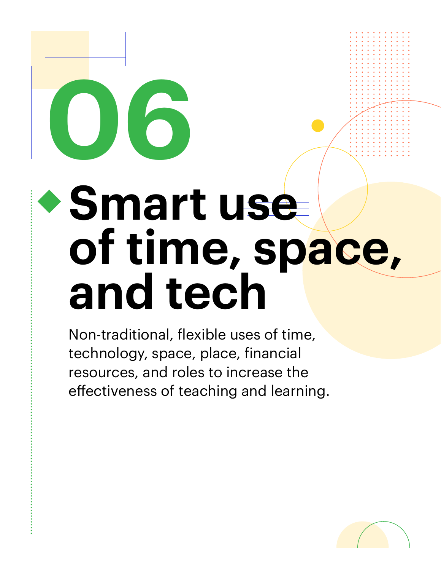## **Smart use of time, space, and tech**

Non-traditional, flexible uses of time, technology, space, place, financial resources, and roles to increase the effectiveness of teaching and learning.

**06**

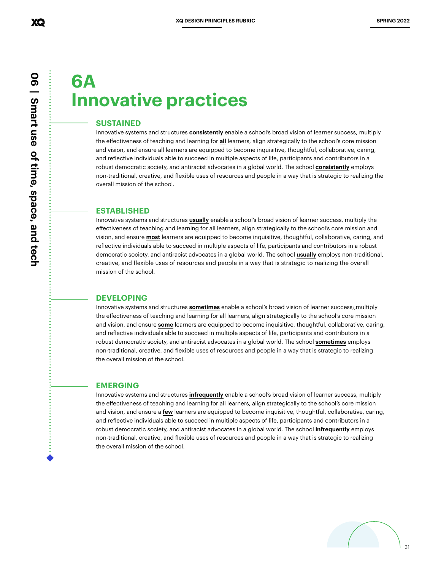## **6A Innovative practices**

#### **SUSTAINED**

Innovative systems and structures **consistently** enable a school's broad vision of learner success, multiply the effectiveness of teaching and learning for **all** learners, align strategically to the school's core mission and vision, and ensure all learners are equipped to become inquisitive, thoughtful, collaborative, caring, and reflective individuals able to succeed in multiple aspects of life, participants and contributors in a robust democratic society, and antiracist advocates in a global world. The school **consistently** employs non-traditional, creative, and flexible uses of resources and people in a way that is strategic to realizing the overall mission of the school.

#### **ESTABLISHED**

Innovative systems and structures **usually** enable a school's broad vision of learner success, multiply the effectiveness of teaching and learning for all learners, align strategically to the school's core mission and vision, and ensure **most** learners are equipped to become inquisitive, thoughtful, collaborative, caring, and reflective individuals able to succeed in multiple aspects of life, participants and contributors in a robust democratic society, and antiracist advocates in a global world. The school **usually** employs non-traditional, creative, and flexible uses of resources and people in a way that is strategic to realizing the overall mission of the school.

#### **DEVELOPING**

Innovative systems and structures **sometimes** enable a school's broad vision of learner success;,multiply the effectiveness of teaching and learning for all learners, align strategically to the school's core mission and vision, and ensure **some** learners are equipped to become inquisitive, thoughtful, collaborative, caring, and reflective individuals able to succeed in multiple aspects of life, participants and contributors in a robust democratic society, and antiracist advocates in a global world. The school **sometimes** employs non-traditional, creative, and flexible uses of resources and people in a way that is strategic to realizing the overall mission of the school.

#### **EMERGING**

Innovative systems and structures **infrequently** enable a school's broad vision of learner success, multiply the effectiveness of teaching and learning for all learners, align strategically to the school's core mission and vision, and ensure a **few** learners are equipped to become inquisitive, thoughtful, collaborative, caring, and reflective individuals able to succeed in multiple aspects of life, participants and contributors in a robust democratic society, and antiracist advocates in a global world. The school **infrequently** employs non-traditional, creative, and flexible uses of resources and people in a way that is strategic to realizing the overall mission of the school.



31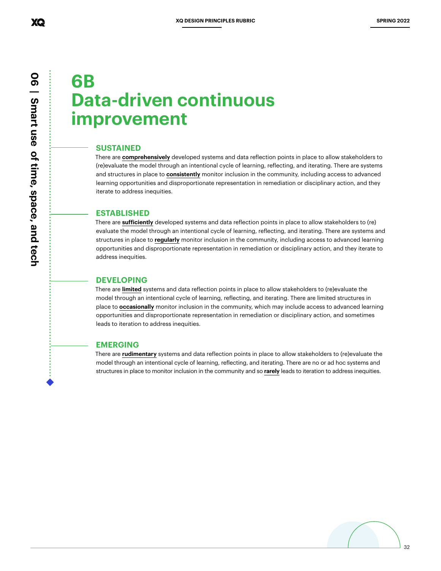## **6B Data-driven continuous improvement**

#### **SUSTAINED**

There are **comprehensively** developed systems and data reflection points in place to allow stakeholders to (re)evaluate the model through an intentional cycle of learning, reflecting, and iterating. There are systems and structures in place to **consistently** monitor inclusion in the community, including access to advanced learning opportunities and disproportionate representation in remediation or disciplinary action, and they iterate to address inequities.

#### **ESTABLISHED**

There are **sufficiently** developed systems and data reflection points in place to allow stakeholders to (re) evaluate the model through an intentional cycle of learning, reflecting, and iterating. There are systems and structures in place to **regularly** monitor inclusion in the community, including access to advanced learning opportunities and disproportionate representation in remediation or disciplinary action, and they iterate to address inequities.

#### **DEVELOPING**

There are **limited** systems and data reflection points in place to allow stakeholders to (re)evaluate the model through an intentional cycle of learning, reflecting, and iterating. There are limited structures in place to **occasionally** monitor inclusion in the community, which may include access to advanced learning opportunities and disproportionate representation in remediation or disciplinary action, and sometimes leads to iteration to address inequities.

#### **EMERGING**

There are **rudimentary** systems and data reflection points in place to allow stakeholders to (re)evaluate the model through an intentional cycle of learning, reflecting, and iterating. There are no or ad hoc systems and structures in place to monitor inclusion in the community and so **rarely** leads to iteration to address inequities.

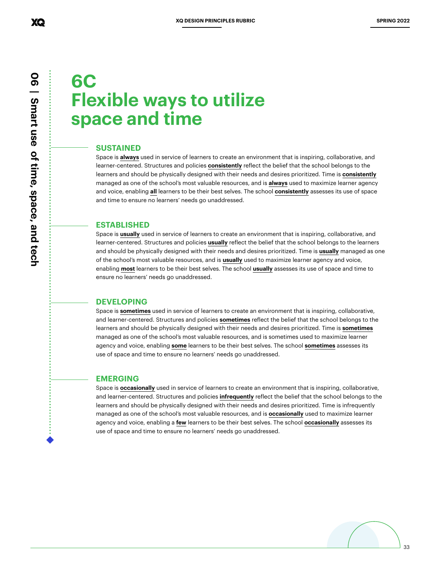## **6C Flexible ways to utilize space and time**

#### **SUSTAINED**

Space is **always** used in service of learners to create an environment that is inspiring, collaborative, and learner-centered. Structures and policies **consistently** reflect the belief that the school belongs to the learners and should be physically designed with their needs and desires prioritized. Time is **consistently** managed as one of the school's most valuable resources, and is **always** used to maximize learner agency and voice, enabling **all** learners to be their best selves. The school **consistently** assesses its use of space and time to ensure no learners' needs go unaddressed.

#### **ESTABLISHED**

Space is **usually** used in service of learners to create an environment that is inspiring, collaborative, and learner-centered. Structures and policies **usually** reflect the belief that the school belongs to the learners and should be physically designed with their needs and desires prioritized. Time is **usually** managed as one of the school's most valuable resources, and is **usually** used to maximize learner agency and voice, enabling **most** learners to be their best selves. The school **usually** assesses its use of space and time to ensure no learners' needs go unaddressed.

#### **DEVELOPING**

Space is **sometimes** used in service of learners to create an environment that is inspiring, collaborative, and learner-centered. Structures and policies **sometimes** reflect the belief that the school belongs to the learners and should be physically designed with their needs and desires prioritized. Time is **sometimes** managed as one of the school's most valuable resources, and is sometimes used to maximize learner agency and voice, enabling **some** learners to be their best selves. The school **sometimes** assesses its use of space and time to ensure no learners' needs go unaddressed.

#### **EMERGING**

Space is **occasionally** used in service of learners to create an environment that is inspiring, collaborative, and learner-centered. Structures and policies **infrequently** reflect the belief that the school belongs to the learners and should be physically designed with their needs and desires prioritized. Time is infrequently managed as one of the school's most valuable resources, and is **occasionally** used to maximize learner agency and voice, enabling a **few** learners to be their best selves. The school **occasionally** assesses its use of space and time to ensure no learners' needs go unaddressed.



XQ

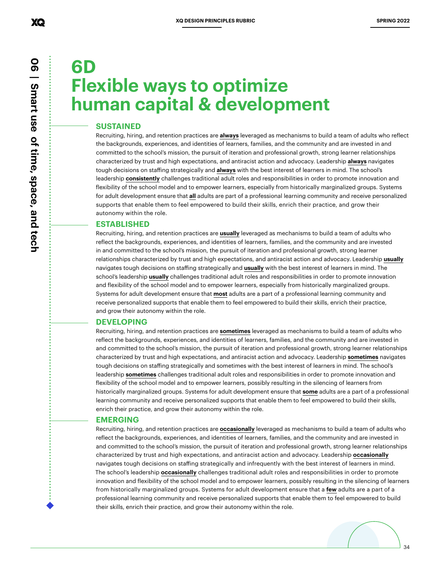## **6D Flexible ways to optimize human capital & development**

#### **SUSTAINED**

Recruiting, hiring, and retention practices are **always** leveraged as mechanisms to build a team of adults who reflect the backgrounds, experiences, and identities of learners, families, and the community and are invested in and committed to the school's mission, the pursuit of iteration and professional growth, strong learner relationships characterized by trust and high expectations, and antiracist action and advocacy. Leadership **always** navigates tough decisions on staffing strategically and **always** with the best interest of learners in mind. The school's leadership **consistently** challenges traditional adult roles and responsibilities in order to promote innovation and flexibility of the school model and to empower learners, especially from historically marginalized groups. Systems for adult development ensure that **all** adults are part of a professional learning community and receive personalized supports that enable them to feel empowered to build their skills, enrich their practice, and grow their autonomy within the role.

#### **ESTABLISHED**

Recruiting, hiring, and retention practices are **usually** leveraged as mechanisms to build a team of adults who reflect the backgrounds, experiences, and identities of learners, families, and the community and are invested in and committed to the school's mission, the pursuit of iteration and professional growth, strong learner relationships characterized by trust and high expectations, and antiracist action and advocacy. Leadership **usually** navigates tough decisions on staffing strategically and **usually** with the best interest of learners in mind. The school's leadership **usually** challenges traditional adult roles and responsibilities in order to promote innovation and flexibility of the school model and to empower learners, especially from historically marginalized groups. Systems for adult development ensure that **most** adults are a part of a professional learning community and receive personalized supports that enable them to feel empowered to build their skills, enrich their practice, and grow their autonomy within the role.

#### **DEVELOPING**

Recruiting, hiring, and retention practices are **sometimes** leveraged as mechanisms to build a team of adults who reflect the backgrounds, experiences, and identities of learners, families, and the community and are invested in and committed to the school's mission, the pursuit of iteration and professional growth, strong learner relationships characterized by trust and high expectations, and antiracist action and advocacy. Leadership **sometimes** navigates tough decisions on staffing strategically and sometimes with the best interest of learners in mind. The school's leadership **sometimes** challenges traditional adult roles and responsibilities in order to promote innovation and flexibility of the school model and to empower learners, possibly resulting in the silencing of learners from historically marginalized groups. Systems for adult development ensure that **some** adults are a part of a professional learning community and receive personalized supports that enable them to feel empowered to build their skills, enrich their practice, and grow their autonomy within the role.

#### **EMERGING**

Recruiting, hiring, and retention practices are **occasionally** leveraged as mechanisms to build a team of adults who reflect the backgrounds, experiences, and identities of learners, families, and the community and are invested in and committed to the school's mission, the pursuit of iteration and professional growth, strong learner relationships characterized by trust and high expectations, and antiracist action and advocacy. Leadership **occasionally** navigates tough decisions on staffing strategically and infrequently with the best interest of learners in mind. The school's leadership **occasionally** challenges traditional adult roles and responsibilities in order to promote innovation and flexibility of the school model and to empower learners, possibly resulting in the silencing of learners from historically marginalized groups. Systems for adult development ensure that a **few** adults are a part of a professional learning community and receive personalized supports that enable them to feel empowered to build their skills, enrich their practice, and grow their autonomy within the role.

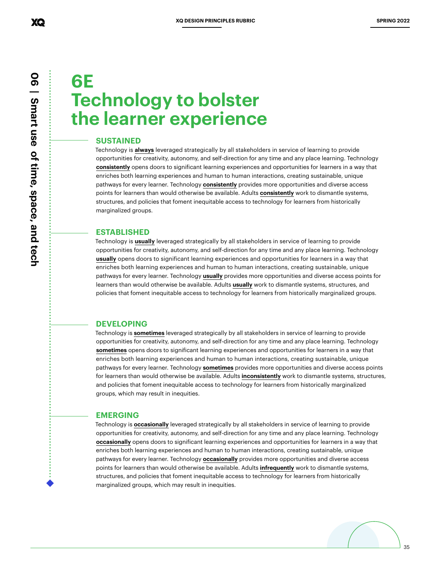## **6E Technology to bolster the learner experience**

#### **SUSTAINED**

Technology is **always** leveraged strategically by all stakeholders in service of learning to provide opportunities for creativity, autonomy, and self-direction for any time and any place learning. Technology **consistently** opens doors to significant learning experiences and opportunities for learners in a way that enriches both learning experiences and human to human interactions, creating sustainable, unique pathways for every learner. Technology **consistently** provides more opportunities and diverse access points for learners than would otherwise be available. Adults **consistently** work to dismantle systems, structures, and policies that foment inequitable access to technology for learners from historically marginalized groups.

#### **ESTABLISHED**

Technology is **usually** leveraged strategically by all stakeholders in service of learning to provide opportunities for creativity, autonomy, and self-direction for any time and any place learning. Technology **usually** opens doors to significant learning experiences and opportunities for learners in a way that enriches both learning experiences and human to human interactions, creating sustainable, unique pathways for every learner. Technology **usually** provides more opportunities and diverse access points for learners than would otherwise be available. Adults **usually** work to dismantle systems, structures, and policies that foment inequitable access to technology for learners from historically marginalized groups.

#### **DEVELOPING**

Technology is **sometimes** leveraged strategically by all stakeholders in service of learning to provide opportunities for creativity, autonomy, and self-direction for any time and any place learning. Technology **sometimes** opens doors to significant learning experiences and opportunities for learners in a way that enriches both learning experiences and human to human interactions, creating sustainable, unique pathways for every learner. Technology **sometimes** provides more opportunities and diverse access points for learners than would otherwise be available. Adults **inconsistently** work to dismantle systems, structures, and policies that foment inequitable access to technology for learners from historically marginalized groups, which may result in inequities.

#### **EMERGING**

Technology is **occasionally** leveraged strategically by all stakeholders in service of learning to provide opportunities for creativity, autonomy, and self-direction for any time and any place learning. Technology **occasionally** opens doors to significant learning experiences and opportunities for learners in a way that enriches both learning experiences and human to human interactions, creating sustainable, unique pathways for every learner. Technology **occasionally** provides more opportunities and diverse access points for learners than would otherwise be available. Adults **infrequently** work to dismantle systems, structures, and policies that foment inequitable access to technology for learners from historically marginalized groups, which may result in inequities.